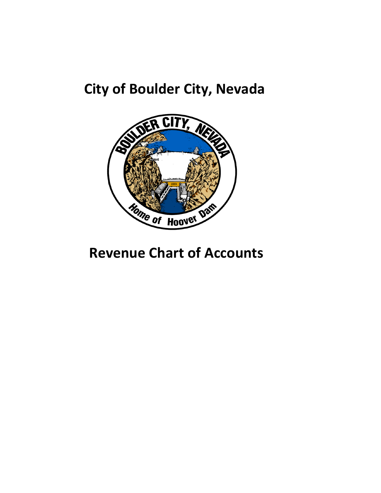## **City of Boulder City, Nevada**



## **Revenue Chart of Accounts**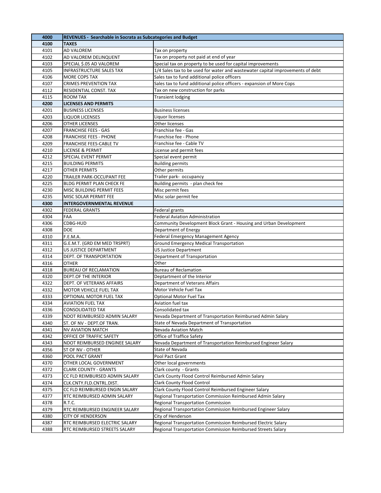| 4000         | <b>REVENUES - Searchable in Socrata as Subcategories and Budget</b> |                                                                                       |
|--------------|---------------------------------------------------------------------|---------------------------------------------------------------------------------------|
| 4100         | <b>TAXES</b>                                                        |                                                                                       |
| 4101         | <b>AD VALOREM</b>                                                   | Tax on property                                                                       |
| 4102         | AD VALOREM DELINQUENT                                               | Tax on property not paid at end of year                                               |
| 4103         | SPECIAL \$.05 AD VALOREM                                            | Special tax on property to be used for capital improvements                           |
| 4105         | <b>INFRASTRUCTURE SALES TAX</b>                                     | 1/4 Sales tax to be used for water and wastewater capital improvements of debt        |
| 4106         | MORE COPS TAX                                                       | Sales tax to fund additional police officers                                          |
| 4107         | <b>CRIMES PREVENTION TAX</b>                                        | Sales tax to fund additional police officers - expansion of More Cops                 |
| 4112         | RESIDENTIAL CONST. TAX                                              | Tax on new construction for parks                                                     |
| 4115         | <b>ROOM TAX</b>                                                     | <b>Transient lodging</b>                                                              |
| 4200         | <b>LICENSES AND PERMITS</b>                                         |                                                                                       |
| 4201         | <b>BUSINESS LICENSES</b>                                            | <b>Business licenses</b>                                                              |
| 4203         | <b>LIQUOR LICENSES</b>                                              | Liquor licenses                                                                       |
| 4206         | <b>OTHER LICENSES</b>                                               | <b>Other licenses</b>                                                                 |
| 4207         | <b>FRANCHISE FEES - GAS</b>                                         | Franchise fee - Gas                                                                   |
| 4208         | <b>FRANCHISE FEES - PHONE</b>                                       | Franchise fee - Phone                                                                 |
| 4209         | FRANCHISE FEES-CABLE TV                                             | Franchise fee - Cable TV                                                              |
| 4210         | <b>LICENSE &amp; PERMIT</b>                                         | License and permit fees                                                               |
| 4212         | <b>SPECIAL EVENT PERMIT</b>                                         | Special event permit                                                                  |
| 4215         | <b>BUILDING PERMITS</b>                                             | <b>Building permits</b>                                                               |
| 4217         | <b>OTHER PERMITS</b>                                                | Other permits                                                                         |
| 4220         | <b>TRAILER PARK-OCCUPANT FEE</b>                                    | Trailer park- occupancy                                                               |
| 4225         | BLDG PERMIT PLAN CHECK FE                                           | Building permits - plan check fee                                                     |
| 4230         | MISC BUILDING PERMIT FEES                                           | Misc permit fees                                                                      |
| 4235         | MISC SOLAR PERMIT FEE                                               | Misc solar permit fee                                                                 |
| 4300         | <b>INTERGOVERNMENTAL REVENUE</b>                                    |                                                                                       |
| 4302         | <b>FEDERAL GRANTS</b>                                               | Federal grants                                                                        |
| 4304         | FAA                                                                 | <b>Federal Aviation Administration</b>                                                |
| 4306         | CDBG-HUD                                                            | Community Development Block Grant - Housing and Urban Development                     |
| 4308         | <b>DOE</b>                                                          | Department of Energy                                                                  |
|              |                                                                     |                                                                                       |
| 4310<br>4311 | F.E.M.A.                                                            | Federal Emergency Management Agency<br><b>Ground Emergency Medical Transportation</b> |
| 4312         | G.E.M.T. (GRD EM MED TRSPRT)<br>US JUSTICE DEPARTMENT               | <b>US Justice Department</b>                                                          |
|              |                                                                     |                                                                                       |
| 4314         | DEPT. OF TRANSPORTATION<br><b>OTHER</b>                             | Department of Transportation<br>Other                                                 |
| 4316         |                                                                     | <b>Bureau of Reclamation</b>                                                          |
| 4318         | <b>BUREAU OF RECLAMATION</b><br><b>DEPT.OF THE INTERIOR</b>         |                                                                                       |
| 4320         |                                                                     | Deptartment of the Interior<br><b>Department of Veterans Affairs</b>                  |
| 4322         | DEPT. OF VETERANS AFFAIRS                                           |                                                                                       |
| 4332         | MOTOR VEHICLE FUEL TAX                                              | Motor Vehicle Fuel Tax                                                                |
| 4333         | OPTIONAL MOTOR FUEL TAX                                             | <b>Optional Motor Fuel Tax</b>                                                        |
| 4334         | <b>AVIATION FUEL TAX</b>                                            | Aviation fuel tax                                                                     |
| 4336         | <b>CONSOLIDATED TAX</b>                                             | Consolidated tax                                                                      |
| 4339         | NDOT REIMBURSED ADMIN SALARY                                        | Nevada Department of Transportation Reimbursed Admin Salary                           |
| 4340         | ST. OF NV - DEPT.OF TRAN.                                           | State of Nevada Department of Transportation                                          |
| 4341         | <b>NV AVIATION MATCH</b>                                            | <b>Nevada Aviation Match</b>                                                          |
| 4342         | OFFICE OF TRAFFIC SAFETY                                            | <b>Office of Traffice Safety</b>                                                      |
| 4343         | NDOT REIMBURSED ENGINEE SALARY                                      | Nevada Department of Transportation Reimbursed Engineer Salary                        |
| 4356         | <b>ST OF NV - OTHER</b>                                             | <b>State of Nevada</b>                                                                |
| 4360         | POOL PACT GRANT                                                     | Pool Pact Grant                                                                       |
| 4370         | OTHER LOCAL GOVERNMENT                                              | Other local governments                                                               |
| 4372         | <b>CLARK COUNTY - GRANTS</b>                                        | Clark county - Grants                                                                 |
| 4373         | CC FLD REIMBURSED ADMIN SALARY                                      | Clark County Flood Control Reimbursed Admin Salary                                    |
| 4374         | CLK.CNTY.FLD.CNTRL.DIST.                                            | <b>Clark County Flood Control</b>                                                     |
| 4375         | CC FLD REIMBURSED ENGIN SALARY                                      | Clark County Flood Control Reimbursed Engineer Salary                                 |
| 4377         | RTC REIMBURSED ADMIN SALARY                                         | Regional Transportation Commission Reimbursed Admin Salary                            |
| 4378         | R.T.C.                                                              | <b>Regional Transportation Commission</b>                                             |
| 4379         | RTC REIMBURSED ENGINEER SALARY                                      | Regional Transportation Commission Reimbursed Engineer Salary                         |
| 4380         | <b>CITY OF HENDERSON</b>                                            | City of Henderson                                                                     |
| 4387         | RTC REIMBURSED ELECTRIC SALARY                                      | Regional Transportation Commission Reimbursed Electric Salary                         |
| 4388         | RTC REIMBURSED STREETS SALARY                                       | Regional Transportation Commission Reimbursed Streets Salary                          |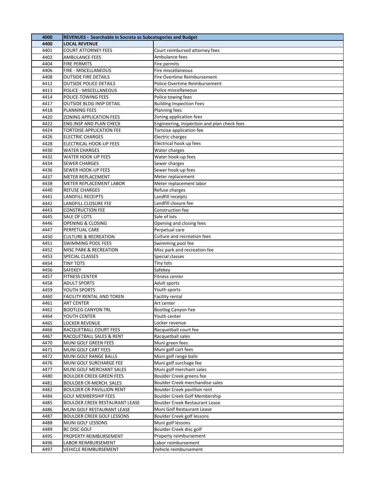| 4000         | <b>REVENUES - Searchable in Socrata as Subcategories and Budget</b> |                                             |
|--------------|---------------------------------------------------------------------|---------------------------------------------|
| 4400         | <b>LOCAL REVENUE</b>                                                |                                             |
| 4401         | <b>COURT ATTORNEY FEES</b>                                          | Court reimbursed attorney fees              |
| 4402         | <b>AMBULANCE FEES</b>                                               | Ambulance fees                              |
| 4404         | <b>FIRE PERMITS</b>                                                 | Fire permits                                |
| 4406         | FIRE - MISCELLANEOUS                                                | Fire miscellaneous                          |
| 4408         | <b>OUTSIDE FIRE DETAILS</b>                                         | Fire Overtime Reimbursement                 |
| 4412         | <b>OUTSIDE POLICE DETAILS</b>                                       | Police Overtime Reimbursement               |
| 4413         | POLICE - MISCELLANEOUS                                              | Police miscellaneous                        |
| 4414         | POLICE-TOWING FEES                                                  | Police towing fees                          |
| 4417         | <b>OUTSIDE BLDG INSP DETAIL</b>                                     | <b>Building Inspection Fees</b>             |
| 4418         | <b>PLANNING FEES</b>                                                | <b>Planning fees</b>                        |
| 4420         | <b>ZONING APPLICATION FEES</b>                                      | Zoning application fees                     |
| 4422         | ENG INSP AND PLAN CHECK                                             | Engineering, inspection and plan check fees |
| 4424         | <b>TORTOISE APPLICATION FEE</b>                                     | Tortoise application fee                    |
| 4426         | <b>ELECTRIC CHARGES</b>                                             | Electric charges                            |
| 4428         | ELECTRICAL HOOK-UP FEES                                             | Electrical hook up fees                     |
| 4430         | <b>WATER CHARGES</b>                                                | Water charges                               |
| 4432         | <b>WATER HOOK-UP FEES</b>                                           | Water hook-up fees                          |
| 4434         | <b>SEWER CHARGES</b>                                                | Sewer charges                               |
| 4436         | <b>SEWER HOOK-UP FEES</b>                                           | Sewer hook-up fees                          |
| 4437         | <b>METER REPLACEMENT</b>                                            | Meter replacement                           |
| 4438         | <b>METER REPLACEMENT LABOR</b>                                      | Meter replacement labor                     |
| 4440         | <b>REFUSE CHARGES</b>                                               | Refuse charges                              |
| 4441         | <b>LANDFILL RECEIPTS</b>                                            | Landfill receipts                           |
| 4442         | LANDFILL CLOSURE FEE                                                | Landfill closure fee                        |
| 4443         | <b>CONSTRUCTION FEE</b>                                             | Construction fee                            |
| 4445         | <b>SALE OF LOTS</b>                                                 | Sale of lots                                |
| 4446         | <b>OPENING &amp; CLOSING</b>                                        | Opening and closing fees                    |
| 4447         | PERPETUAL CARE                                                      | Perpetual care                              |
| 4450         | <b>CULTURE &amp; RECREATION</b>                                     | Culture and recreation fees                 |
| 4451         | <b>SWIMMING POOL FEES</b>                                           | Swimming pool fee                           |
| 4452         | <b>MISC PARK &amp; RECREATION</b>                                   | Misc park and recreation fee                |
| 4453         | SPECIAL CLASSES                                                     | Special classes                             |
| 4454         | <b>TINY TOTS</b>                                                    | Tiny tots                                   |
| 4456         | SAFEKEY                                                             | Safekey                                     |
| 4457         | <b>FITNESS CENTER</b>                                               | Fitness center                              |
| 4458         | <b>ADULT SPORTS</b>                                                 | Adult sports                                |
| 4459         | YOUTH SPORTS                                                        | Youth sports                                |
| 4460         | <b>FACILITY RENTAL AND TOKEN</b>                                    | <b>Facility rental</b>                      |
| 4461         | <b>ART CENTER</b>                                                   | Art center                                  |
| 4462         | <b>BOOTLEG CANYON TRL</b>                                           | <b>Bootleg Canyon Fee</b>                   |
| 4464         | YOUTH CENTER                                                        | Youth center                                |
| 4465         | <b>LOCKER REVENUE</b>                                               | Locker revenue                              |
| 4466         | RACQUETBALL COURT FEES                                              | Racquetball court fee                       |
| 4467<br>4470 | RACQUETBALL SALES & RENT<br>MUNI GOLF GREEN FEES                    | Racquetball sales                           |
| 4471         |                                                                     | Muni green fees<br>Muni golf cart fees      |
| 4472         | <b>MUNI GOLF CART FEES</b><br>MUNI GOLF RANGE BALLS                 | Muni golf range balls                       |
| 4476         | MUNI GOLF SURCHARGE FEE                                             | Muni golf surchage fee                      |
| 4477         | MUNI GOLF MERCHANT SALES                                            | Muni golf merchant sales                    |
| 4480         | <b>BOULDER CREEK GREEN FEES</b>                                     | Boulder Creek greens fee                    |
| 4481         | <b>BOULDER CR-MERCH. SALES</b>                                      | Boulder Creek merchandise sales             |
| 4482         | <b>BOULDER CR-PAVILLION RENT</b>                                    | Boulder Creek pavillion rent                |
| 4484         | <b>GOLF MEMBERSHIP FEES</b>                                         | <b>Boulder Creek Golf Membership</b>        |
| 4485         | <b>BOULDER CREEK RESTAURANT LEASE</b>                               | <b>Boulder Creek Restaurant Lease</b>       |
| 4486         | MUNI GOLF RESTAURANT LEASE                                          | Muni Golf Restaurant Lease                  |
| 4487         | <b>BOULDER CREEK GOLF LESSONS</b>                                   | Boulder Creek golf lessons                  |
| 4488         | <b>MUNI GOLF LESSONS</b>                                            | Muni golf lessons                           |
| 4489         | <b>BC DISC GOLF</b>                                                 | Boulder Creek disc golf                     |
| 4495         | PROPERTY REIMBURSEMENT                                              | Property reimbursement                      |
| 4496         | <b>LABOR REIMBURSEMENT</b>                                          | Labor reimbursement                         |
| 4497         | <b>VEHICLE REIMBURSEMENT</b>                                        | Vehicle reimbursement                       |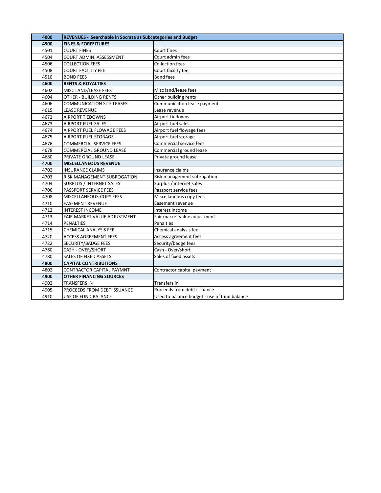| 4500<br><b>COURT FINES</b><br>4501<br>4504 | <b>FINES &amp; FORFEITURES</b>   |                                              |
|--------------------------------------------|----------------------------------|----------------------------------------------|
|                                            |                                  |                                              |
|                                            |                                  | Court fines                                  |
|                                            | COURT ADMIN. ASSESSMENT          | Court admin fees                             |
| 4506                                       | <b>COLLECTION FEES</b>           | <b>Collection fees</b>                       |
| 4508                                       | <b>COURT FACILITY FEE</b>        | Court facility fee                           |
| <b>BOND FEES</b><br>4510                   |                                  | <b>Bond fees</b>                             |
| 4600                                       | <b>RENTS &amp; ROYALTIES</b>     |                                              |
| 4602                                       | MISC LAND/LEASE FEES             | Misc land/lease fees                         |
| 4604                                       | OTHER - BUILDING RENTS           | Other building rents                         |
| 4606                                       | <b>COMMUNICATION SITE LEASES</b> | Communication lease payment                  |
| 4615                                       | <b>LEASE REVENUE</b>             | Lease revenue                                |
| 4672                                       | <b>AIRPORT TIEDOWNS</b>          | Airport tiedowns                             |
| 4673                                       | <b>AIRPORT FUEL SALES</b>        | Airport fuel sales                           |
| 4674                                       | AIRPORT FUEL FLOWAGE FEES        | Airport fuel flowage fees                    |
| 4675                                       | <b>AIRPORT FUEL STORAGE</b>      | Airport fuel storage                         |
| 4676                                       | <b>COMMERCIAL SERVICE FEES</b>   | <b>Commercial service fees</b>               |
| 4678                                       | <b>COMMERCIAL GROUND LEASE</b>   | Commercial ground lease                      |
| 4680                                       | PRIVATE GROUND LEASE             | Private ground lease                         |
| 4700                                       | <b>MISCELLANEOUS REVENUE</b>     |                                              |
| 4702                                       | <b>INSURANCE CLAIMS</b>          | Insurance claims                             |
| 4703                                       | RISK MANAGEMENT SUBROGATION      | Risk management subrogation                  |
| 4704                                       | <b>SURPLUS / INTERNET SALES</b>  | Surplus / internet sales                     |
| 4706                                       | PASSPORT SERVICE FEES            | Passport service fees                        |
| 4708                                       | MISCELLANEOUS-COPY FEES          | Miscellaneous copy fees                      |
| 4710                                       | <b>EASEMENT REVENUE</b>          | Easement revenue                             |
| 4712                                       | <b>INTEREST INCOME</b>           | Interest income                              |
| 4713                                       | FAIR MARKET VALUE ADJUSTMENT     | Fair market value adjustment                 |
| <b>PENALTIES</b><br>4714                   |                                  | Penalties                                    |
| 4715                                       | <b>CHEMICAL ANALYSIS FEE</b>     | Chemical analysis fee                        |
| 4720                                       | <b>ACCESS AGREEMENT FEES</b>     | Access agreement fees                        |
| 4722                                       | <b>SECURITY/BADGE FEES</b>       | Security/badge fees                          |
| 4760                                       | CASH - OVER/SHORT                | Cash - Over/short                            |
| 4780                                       | <b>SALES OF FIXED ASSETS</b>     | Sales of fixed assets                        |
| 4800                                       | <b>CAPITAL CONTRIBUTIONS</b>     |                                              |
| 4802                                       | <b>CONTRACTOR CAPITAL PAYMNT</b> | Contractor capital payment                   |
| 4900                                       | <b>OTHER FINANCING SOURCES</b>   |                                              |
| 4902<br><b>TRANSFERS IN</b>                |                                  | Transfers in                                 |
| 4905                                       | PROCEEDS FROM DEBT ISSUANCE      | Proceeds from debt issuance                  |
| 4910                                       | USE OF FUND BALANCE              | Used to balance budget - use of fund balance |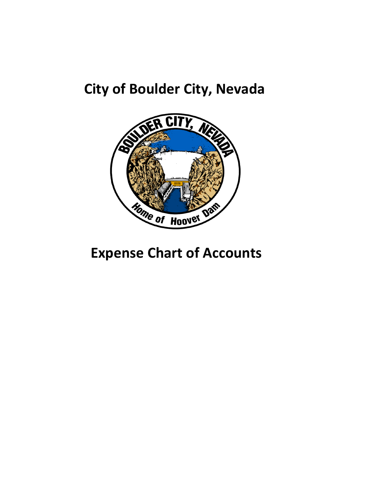## **City of Boulder City, Nevada**



## **Expense Chart of Accounts**